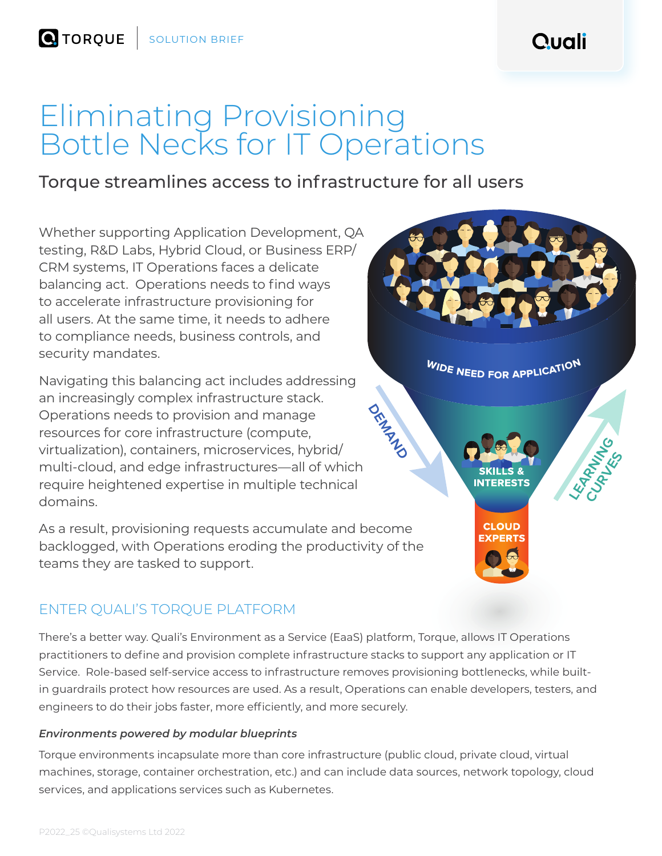Quali

**LEARNING** Current

**WIDE NEED FOR APPLICATION** 

CLOUD

# Eliminating Provisioning Bottle Necks for IT Operations

# Torque streamlines access to infrastructure for all users

Whether supporting Application Development, QA testing, R&D Labs, Hybrid Cloud, or Business ERP/ CRM systems, IT Operations faces a delicate balancing act. Operations needs to find ways to accelerate infrastructure provisioning for all users. At the same time, it needs to adhere to compliance needs, business controls, and security mandates.

Navigating this balancing act includes addressing an increasingly complex infrastructure stack. Operations needs to provision and manage resources for core infrastructure (compute, virtualization), containers, microservices, hybrid/ multi-cloud, and edge infrastructures—all of which require heightened expertise in multiple technical domains.

As a result, provisioning requests accumulate and become backlogged, with Operations eroding the productivity of the teams they are tasked to support.

## ENTER QUALI'S TORQUE PLATFORM

There's a better way. Quali's Environment as a Service (EaaS) platform, Torque, allows IT Operations practitioners to define and provision complete infrastructure stacks to support any application or IT Service. Role-based self-service access to infrastructure removes provisioning bottlenecks, while builtin guardrails protect how resources are used. As a result, Operations can enable developers, testers, and engineers to do their jobs faster, more efficiently, and more securely.

**Demandand** 

### *Environments powered by modular blueprints*

Torque environments incapsulate more than core infrastructure (public cloud, private cloud, virtual machines, storage, container orchestration, etc.) and can include data sources, network topology, cloud services, and applications services such as Kubernetes.